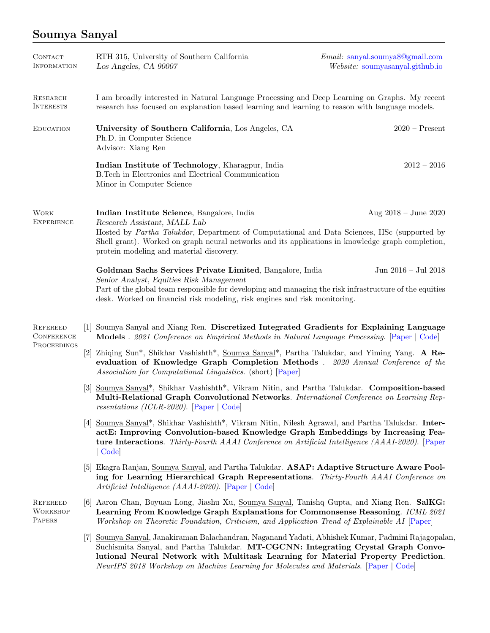## Soumya Sanyal

| <b>CONTACT</b><br><b>INFORMATION</b>                |                              | RTH 315, University of Southern California<br>Los Angeles, CA 90007                                                                                                                                                                                                                                                                                                | Email: sanyal.soumya8@gmail.com<br>Website: soumyasanyal.github.io |
|-----------------------------------------------------|------------------------------|--------------------------------------------------------------------------------------------------------------------------------------------------------------------------------------------------------------------------------------------------------------------------------------------------------------------------------------------------------------------|--------------------------------------------------------------------|
| <b>RESEARCH</b><br><b>INTERESTS</b>                 |                              | I am broadly interested in Natural Language Processing and Deep Learning on Graphs. My recent<br>research has focused on explanation based learning and learning to reason with language models.                                                                                                                                                                   |                                                                    |
| <b>EDUCATION</b>                                    |                              | University of Southern California, Los Angeles, CA<br>Ph.D. in Computer Science<br>Advisor: Xiang Ren                                                                                                                                                                                                                                                              | $2020$ – Present                                                   |
|                                                     |                              | Indian Institute of Technology, Kharagpur, India<br>B. Tech in Electronics and Electrical Communication<br>Minor in Computer Science                                                                                                                                                                                                                               | $2012 - 2016$                                                      |
| <b>WORK</b><br><b>EXPERIENCE</b>                    |                              | Indian Institute Science, Bangalore, India<br>Research Assistant, MALL Lab<br>Hosted by Partha Talukdar, Department of Computational and Data Sciences, IISc (supported by<br>Shell grant). Worked on graph neural networks and its applications in knowledge graph completion,<br>protein modeling and material discovery.                                        | Aug $2018 -$ June $2020$                                           |
|                                                     |                              | Goldman Sachs Services Private Limited, Bangalore, India<br>Senior Analyst, Equities Risk Management<br>Part of the global team responsible for developing and managing the risk infrastructure of the equities<br>desk. Worked on financial risk modeling, risk engines and risk monitoring.                                                                      | Jun 2016 - Jul 2018                                                |
| <b>REFEREED</b><br><b>CONFERENCE</b><br>PROCEEDINGS | 1                            | Soumya Sanyal and Xiang Ren. Discretized Integrated Gradients for Explaining Language<br><b>Models</b> . 2021 Conference on Empirical Methods in Natural Language Processing. [Paper   Code]                                                                                                                                                                       |                                                                    |
|                                                     | $\left\lceil 2 \right\rceil$ | Zhiqing Sun*, Shikhar Vashishth*, <u>Soumya Sanyal</u> *, Partha Talukdar, and Yiming Yang. A Re-<br>evaluation of Knowledge Graph Completion Methods . 2020 Annual Conference of the<br>Association for Computational Linguistics. (short) [Paper]                                                                                                                |                                                                    |
|                                                     |                              | [3] Soumya Sanyal*, Shikhar Vashishth*, Vikram Nitin, and Partha Talukdar. Composition-based<br>Multi-Relational Graph Convolutional Networks. International Conference on Learning Rep-<br>resentations (ICLR-2020). [Paper $\vert$ Code]                                                                                                                         |                                                                    |
|                                                     |                              | [4] Soumya Sanyal*, Shikhar Vashishth*, Vikram Nitin, Nilesh Agrawal, and Partha Talukdar. Inter-<br>actE: Improving Convolution-based Knowledge Graph Embeddings by Increasing Fea-<br><b>ture Interactions.</b> Thirty-Fourth AAAI Conference on Artificial Intelligence (AAAI-2020). [Paper<br> Code                                                            |                                                                    |
|                                                     |                              | [5] Ekagra Ranjan, Soumya Sanyal, and Partha Talukdar. ASAP: Adaptive Structure Aware Pool-<br>ing for Learning Hierarchical Graph Representations. Thirty-Fourth AAAI Conference on<br>Artificial Intelligence (AAAI-2020). [Paper   Code]                                                                                                                        |                                                                    |
| <b>REFEREED</b><br><b>WORKSHOP</b><br>PAPERS        |                              | [6] Aaron Chan, Boyuan Long, Jiashu Xu, Soumya Sanyal, Tanishq Gupta, and Xiang Ren. SalKG:<br>Learning From Knowledge Graph Explanations for Commonsense Reasoning. ICML 2021<br>Workshop on Theoretic Foundation, Criticism, and Application Trend of Explainable AI [Paper]                                                                                     |                                                                    |
|                                                     | l'(†                         | Soumya Sanyal, Janakiraman Balachandran, Naganand Yadati, Abhishek Kumar, Padmini Rajagopalan,<br>Suchismita Sanyal, and Partha Talukdar. MT-CGCNN: Integrating Crystal Graph Convo-<br>lutional Neural Network with Multitask Learning for Material Property Prediction.<br>NeurIPS 2018 Workshop on Machine Learning for Molecules and Materials. [Paper   Code] |                                                                    |